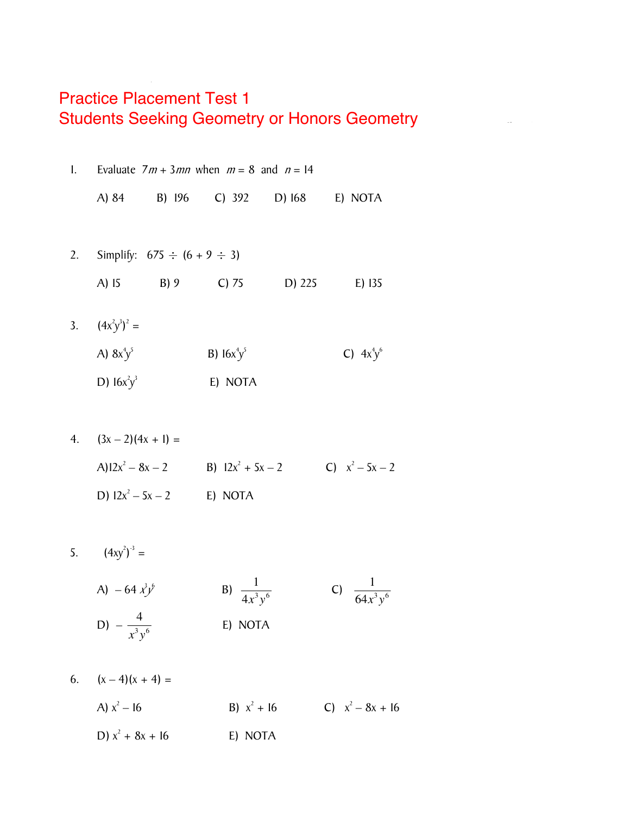## **Practice Placement Test 1** *Multiple Choice*  **Students Seeking Geometry or Honors Geometry is not listed and listed and listed and listed and listed and listed and listed and listed and listed and listed and listed and listed and listed and listed and listed and list**

**Algebra Diagnostic Pre-Test** 

| 1. |                       |                                     | Evaluate $7m + 3mn$ when $m = 8$ and $n = 14$ |        |              |  |
|----|-----------------------|-------------------------------------|-----------------------------------------------|--------|--------------|--|
|    | A) 84                 | B) 196                              | C) $392$ D) $168$                             |        | E) NOTA      |  |
|    |                       |                                     |                                               |        |              |  |
| 2. |                       | Simplify: $675 \div (6 + 9 \div 3)$ |                                               |        |              |  |
|    | $A)$ 15               | $B)$ 9                              | $C$ ) 75                                      | D) 225 | E) 135       |  |
|    |                       |                                     |                                               |        |              |  |
| 3. | $(4x^{2}y^{3})^{2} =$ |                                     |                                               |        |              |  |
|    | A) $8x^4y^5$          |                                     | <b>B</b> ) $16x^4y^5$                         |        | C) $4x^4y^6$ |  |
|    | D) $16x^2y^3$         |                                     | E) NOTA                                       |        |              |  |
|    |                       |                                     |                                               |        |              |  |

4. 
$$
(3x-2)(4x + 1) =
$$
  
\n $A)12x^2 - 8x - 2$  \nB)  $12x^2 + 5x - 2$  \nC)  $x^2 - 5x - 2$   
\nD)  $12x^2 - 5x - 2$  \nE) NOTA

$$
5. \qquad (4xy^2)^{-3} =
$$

A) 
$$
-64 \frac{y^6}{}
$$
  
\nB)  $\frac{1}{4x^3y^6}$   
\nC)  $\frac{1}{64x^3y^6}$   
\nD)  $-\frac{4}{x^3y^6}$   
\nE) NOTA

6. 
$$
(x-4)(x + 4) =
$$
  
\nA)  $x^2 - 16$   
\nB)  $x^2 + 16$   
\nC)  $x^2 - 8x + 16$   
\nD)  $x^2 + 8x + 16$   
\nE) NOTA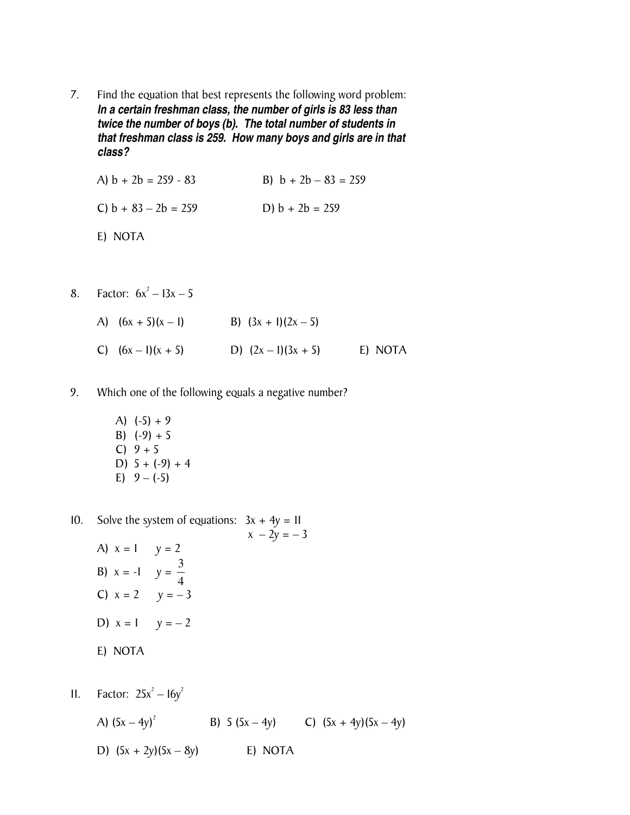7. Find the equation that best represents the following word problem: *In a certain freshman class, the number of girls is 83 less than twice the number of boys (b). The total number of students in that freshman class is 259. How many boys and girls are in that class?* 

A)  $b + 2b = 259 - 83$ <br>B)  $b + 2b - 83 = 259$ C)  $b + 83 - 2b = 259$  D)  $b + 2b = 259$ 

- E) NOTA
- 8. Factor:  $6x^2 13x 5$ 
	- A)  $(6x + 5)(x 1)$  B)  $(3x + 1)(2x 5)$ C)  $(6x-1)(x + 5)$  D)  $(2x-1)(3x + 5)$  E) NOTA
- 9. Which one of the following equals a negative number?
	- A)  $(-5) + 9$ B)  $(-9) + 5$  $C) 9 + 5$ D)  $5 + (-9) + 4$ E)  $9 - (-5)$
- 10. Solve the system of equations:  $3x + 4y = 11$  $x - 2y = -3$ 
	- A)  $x = 1$   $y = 2$ B)  $x = -1$   $y = \frac{5}{4}$  $\frac{3}{1}$ C)  $x = 2$   $y = -3$ D)  $x = 1$   $y = -2$
	- E) NOTA

11. Factor:  $25x^2 - 16y^2$ 

A)  $(5x - 4y)^2$ B) 5  $(5x - 4y)$  C)  $(5x + 4y)(5x - 4y)$ D)  $(5x + 2y)(5x - 8y)$  E) NOTA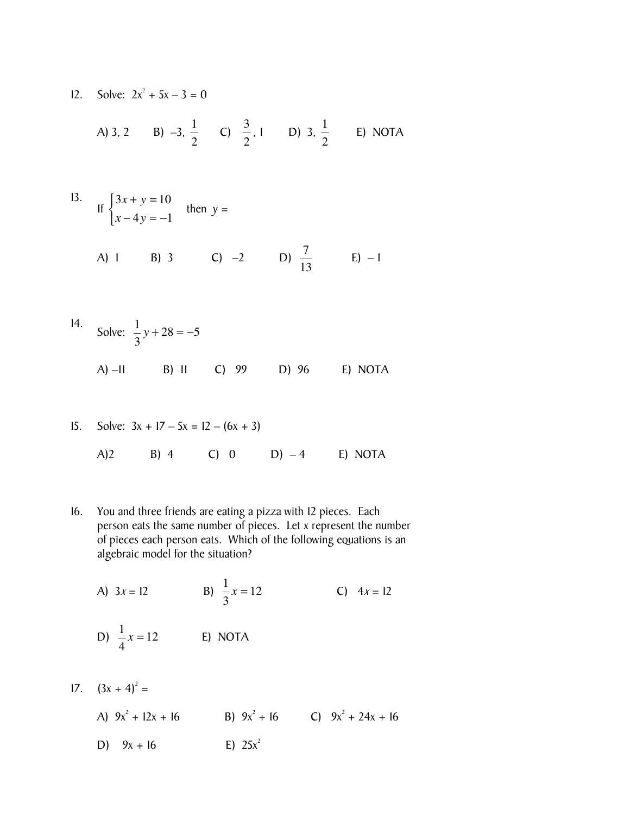12. Solve:  $2x^2 + 5x - 3 = 0$ 

A) 3, 2 \tB) -3, 
$$
\frac{1}{2}
$$
 \tC)  $\frac{3}{2}$ , 1 \tD) 3,  $\frac{1}{2}$  \tE) NOTA

13. If 
$$
\begin{cases} 3x + y = 10 \\ x - 4y = -1 \end{cases}
$$
 then  $y =$   
\n(A) 1 \t (B) 3 \t (C) -2 \t (D)  $\frac{7}{13}$  \t (E) -1

14. Solve: 
$$
\frac{1}{3}y + 28 = -5
$$
  
A) -11 B) II C) 99 D) 96 E) NOTA

15. Solve: 
$$
3x + 17 - 5x = 12 - (6x + 3)
$$
  
A)2 B) 4 C) 0 D) -4 E) NOTA

16. You and three friends are eating a pizza with 12 pieces. Each person eats the same number of pieces. Let x represent the number of pieces each person eats. Which of the following equations is an algebraic model for the situation?

A) 
$$
3x = 12
$$
  
B)  $\frac{1}{3}x = 12$   
C)  $4x = 12$   
D)  $\frac{1}{4}x = 12$   
E) NOTA

 $17. \quad (3x + 4)^2 =$ 

A)  $9x^2 + 12x + 16$  B)  $9x^2 + 16$  C)  $9x^2 + 24x + 16$ D)  $9x + 16$ E)  $25x^2$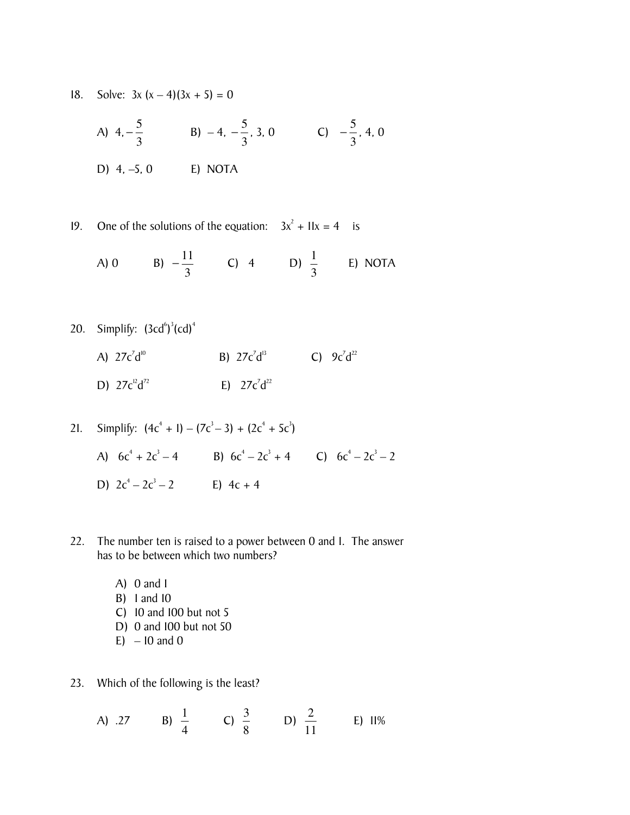18. Solve:  $3x (x-4)(3x + 5) = 0$ 

A) 
$$
4, -\frac{5}{3}
$$
 \t B)  $-4, -\frac{5}{3}, 3, 0$  \t C)  $-\frac{5}{3}, 4, 0$   
D)  $4, -5, 0$  \t E) NOTA

19. One of the solutions of the equation:  $3x^2 + 11x = 4$  is

A) 0 \tB) 
$$
-\frac{11}{3}
$$
 \tC) 4 \tD)  $\frac{1}{3}$  \tE) NOTA

- 20. Simplify:  $(3cd^6)^3 (cd)^4$ 
	- A)  $27c^7d$ <sup>10</sup> B)  $27c^7d^{13}$  C)  $9c^7d^{22}$ D)  $27c^{12}d^{72}$  $E$ )  $27c^7d^{22}$

21. Simplify: 
$$
(4c^4 + 1) - (7c^3 - 3) + (2c^4 + 5c^3)
$$
  
\nA)  $6c^4 + 2c^3 - 4$   
\nB)  $6c^4 - 2c^3 + 4$   
\nC)  $6c^4 - 2c^3 - 2$   
\nD)  $2c^4 - 2c^3 - 2$   
\nE)  $4c + 4$ 

- 22. The number ten is raised to a power between 0 and 1. The answer has to be between which two numbers?
	- A) 0 and 1 B) 1 and 10 C) 10 and 100 but not 5 D) 0 and 100 but not 50  $E$ ) – 10 and 0
- 23. Which of the following is the least?

A) .27 \tB) 
$$
\frac{1}{4}
$$
 \tC)  $\frac{3}{8}$  \tD)  $\frac{2}{11}$  \tE)  $11\%$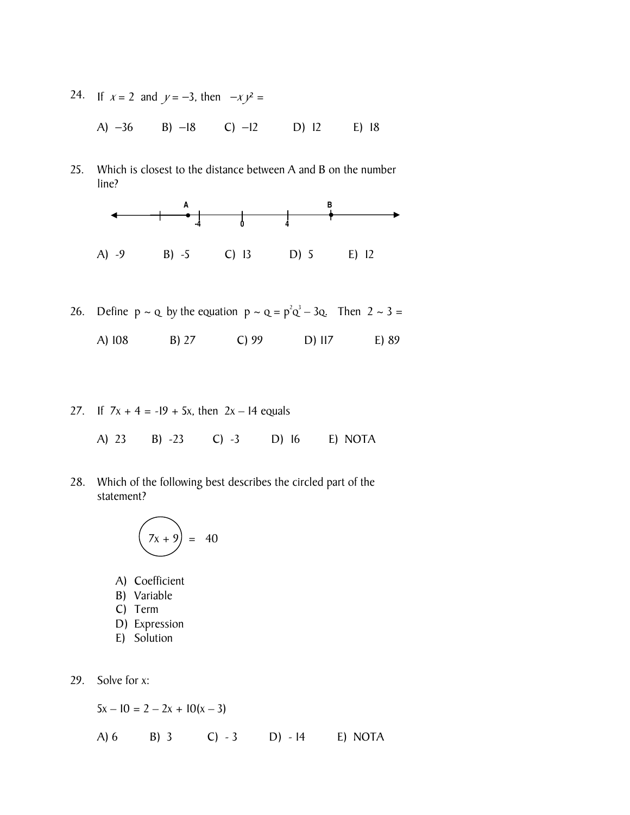24. If  $x = 2$  and  $y = -3$ , then  $-x y^2 =$ 

A) −36 B) −18 C) −12 D) 12 E) 18

25. Which is closest to the distance between A and B on the number line?



26. Define  $p \sim q$  by the equation  $p \sim q = p^2q^3 - 3q$ . Then  $2 \sim 3 =$ 

A) 108 B) 27 C) 99 D) 117 E) 89

27. If  $7x + 4 = -19 + 5x$ , then  $2x - 14$  equals

A) 23 B) -23 C) -3 D) 16 E) NOTA

28. Which of the following best describes the circled part of the statement?

$$
\left(\overline{7x+9}\right) = 40
$$

- A) Coefficient
- B) Variable
- C) Term
- D) Expression
- E) Solution
- 29. Solve for x:

 $5x - 10 = 2 - 2x + 10(x - 3)$ 

A) 6 B) 3 C) - 3 D) - 14 E) NOTA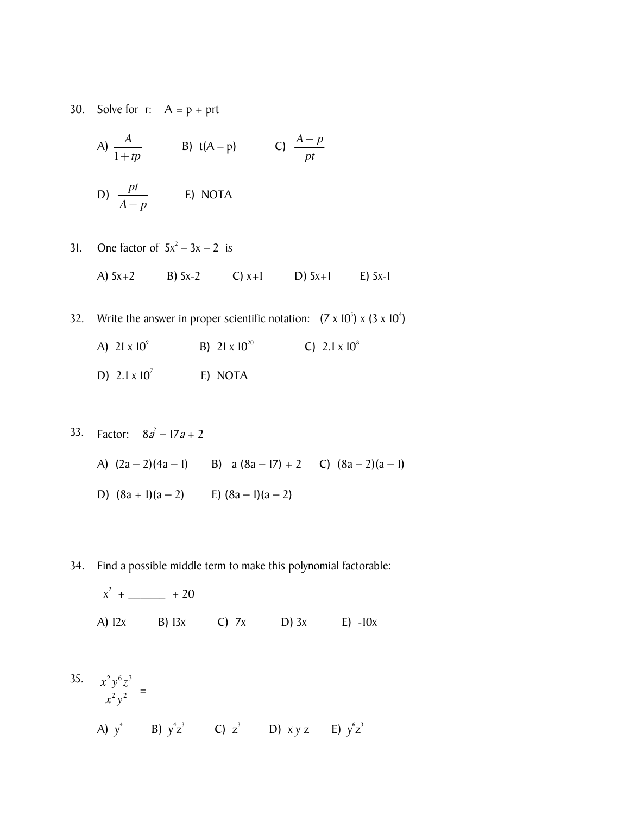30. Solve for  $r: A = p + pt$ 

A) 
$$
\frac{A}{1+tp}
$$
 \t B)  $t(A-p)$  \t C)  $\frac{A-p}{pt}$ 

D) 
$$
\frac{pt}{A-p}
$$
 E) NOTA

- 31. One factor of  $5x^2 3x 2$  is
	- A) 5x+2 B) 5x-2 C) x+1 D) 5x+1 E) 5x-1
- 32. Write the answer in proper scientific notation:  $(7 \times 10^5) \times (3 \times 10^4)$ 
	- A)  $21 \times 10^9$ B) 21  $\times$  10<sup>20</sup> C)  $2.1 \times 10^8$ D)  $2.1 \times 10^7$
	- E) NOTA
- 33. Factor:  $8a^2 17a + 2$ 
	- A)  $(2a-2)(4a-1)$  B)  $a(8a-17) + 2$  C)  $(8a-2)(a-1)$
	- D)  $(8a + 1)(a 2)$  E)  $(8a 1)(a 2)$
- 34. Find a possible middle term to make this polynomial factorable:
	- $x^2$  + \_\_\_\_\_\_\_ + 20 A) 12x B) 13x C) 7x D) 3x E) -10x

35. 
$$
\frac{x^2 y^6 z^3}{x^2 y^2} =
$$
  
\nA)  $y^4$  \tB)  $y^4 z^3$  \tC)  $z^3$  \tD)  $xyz$  \tE)  $y^6 z^3$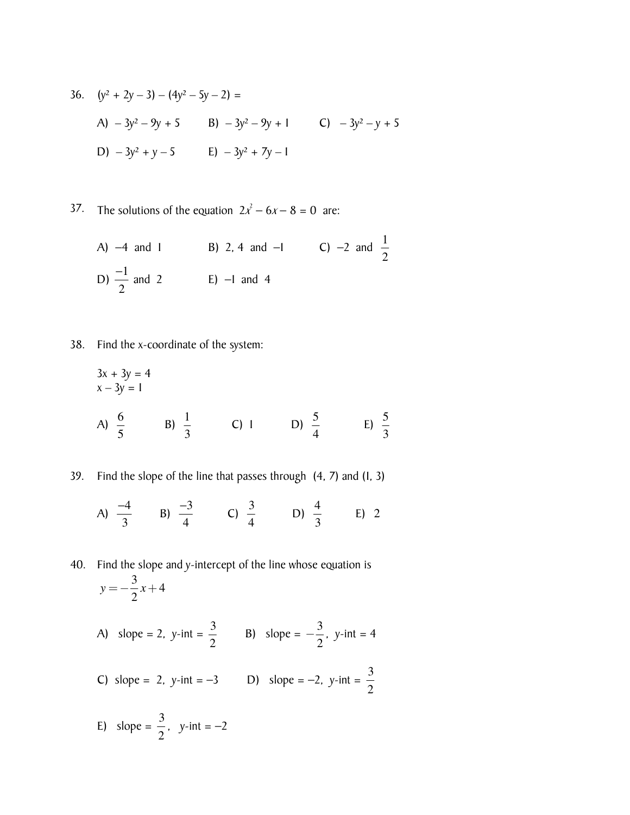36. 
$$
(y^2 + 2y - 3) - (4y^2 - 5y - 2) =
$$
  
\nA)  $-3y^2 - 9y + 5$  B)  $-3y^2 - 9y + 1$  C)  $-3y^2 - y + 5$   
\nD)  $-3y^2 + y - 5$  E)  $-3y^2 + 7y - 1$ 

37. The solutions of the equation  $2x^2 - 6x - 8 = 0$  are:

A) -4 and 1  
\nB) 2, 4 and -1  
\nC) -2 and 
$$
\frac{1}{2}
$$
  
\nD)  $\frac{-1}{2}$  and 2  
\nE) -1 and 4

38. Find the x-coordinate of the system:

$$
3x + 3y = 4
$$
  
x - 3y = 1  
A)  $\frac{6}{5}$  \t B)  $\frac{1}{3}$  \t C) 1 \t D)  $\frac{5}{4}$  \t E)  $\frac{5}{3}$ 

39. Find the slope of the line that passes through (4, 7) and (1, 3)

A)  $\frac{-4}{3}$  B)  $\frac{-3}{4}$  C)  $\frac{3}{4}$ D)  $\frac{4}{3}$ 3 E) 2

40. Find the slope and y-intercept of the line whose equation is  $y = -\frac{3}{2}x + 4$ 

A) slope = 2, y-int = 
$$
\frac{3}{2}
$$
 B) slope =  $-\frac{3}{2}$ , y-int = 4

C) slope = 2, y-int = -3  
D) slope = -2, y-int = 
$$
\frac{3}{2}
$$

E) slope =  $\frac{3}{2}$ 2 ,  $y$ -int =  $-2$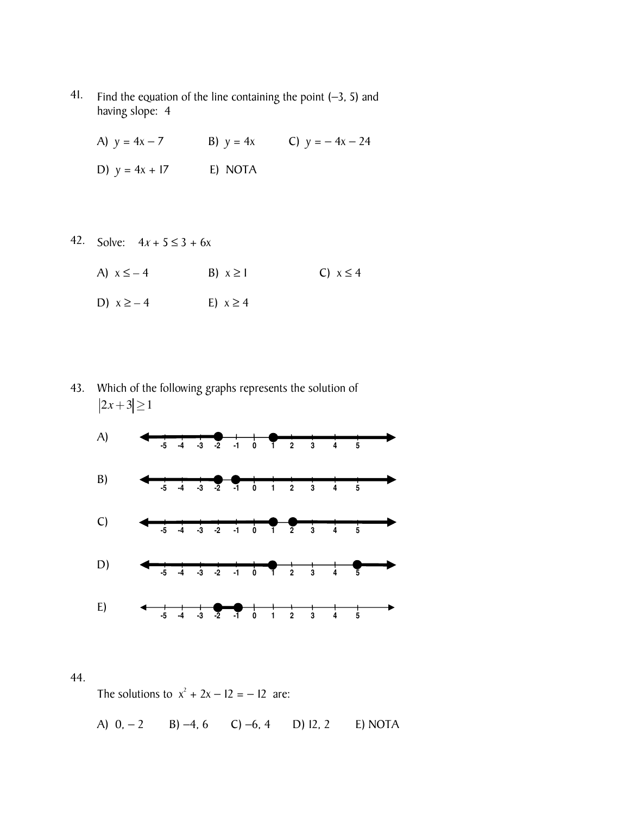41. Find the equation of the line containing the point (−3, 5) and having slope: 4

A)  $y = 4x - 7$  B)  $y = 4x$  C)  $y = -4x - 24$ 

- D)  $y = 4x + 17$  E) NOTA
- 42. Solve:  $4x + 5 \le 3 + 6x$ 
	- A)  $x \leq -4$  B)  $x \geq 1$  C)  $x \leq 4$ D)  $x \ge -4$  E)  $x \ge 4$

43. Which of the following graphs represents the solution of  $|2x+3| \ge 1$ 



## 44.

The solutions to  $x^2 + 2x - 12 = -12$  are:

A) 0, − 2 B) −4, 6 C) −6, 4 D) 12, 2 E) NOTA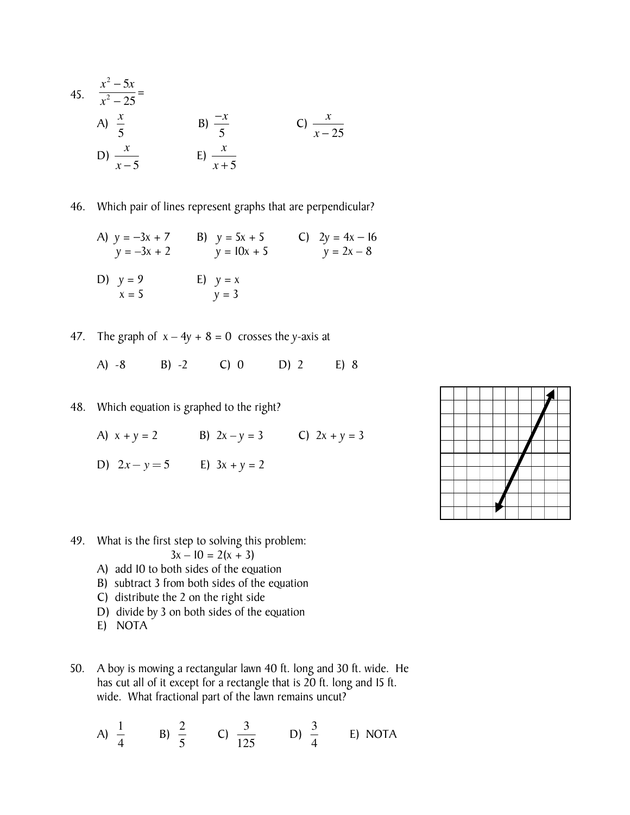45. 
$$
\frac{x^2 - 5x}{x^2 - 25} =
$$
  
\nA)  $\frac{x}{5}$  \nB)  $\frac{-x}{5}$  \nC)  $\frac{x}{x - 25}$   
\nD)  $\frac{x}{x - 5}$  \nE)  $\frac{x}{x + 5}$ 

46. Which pair of lines represent graphs that are perpendicular?

A)  $y = -3x + 7$  B)  $y = 5x + 5$  C)  $2y = 4x - 16$  $y = -3x + 2$   $y = 10x + 5$   $y = 2x - 8$ D)  $y = 9$  E)  $y = x$  $x = 5$   $y = 3$ 

47. The graph of  $x - 4y + 8 = 0$  crosses the y-axis at

A) -8 B) -2 C) 0 D) 2 E) 8

- 48. Which equation is graphed to the right?
	- A)  $x + y = 2$  B)  $2x y = 3$  C)  $2x + y = 3$
	- D)  $2x y = 5$  **E**)  $3x + y = 2$



49. What is the first step to solving this problem:

$$
3x - 10 = 2(x + 3)
$$

- A) add 10 to both sides of the equation
- B) subtract 3 from both sides of the equation
- C) distribute the 2 on the right side
- D) divide by 3 on both sides of the equation
- E) NOTA
- 50. A boy is mowing a rectangular lawn 40 ft. long and 30 ft. wide. He has cut all of it except for a rectangle that is 20 ft. long and 15 ft. wide. What fractional part of the lawn remains uncut?

A) 
$$
\frac{1}{4}
$$
 \tB)  $\frac{2}{5}$  \tC)  $\frac{3}{125}$  \tD)  $\frac{3}{4}$  \tE) NOTA